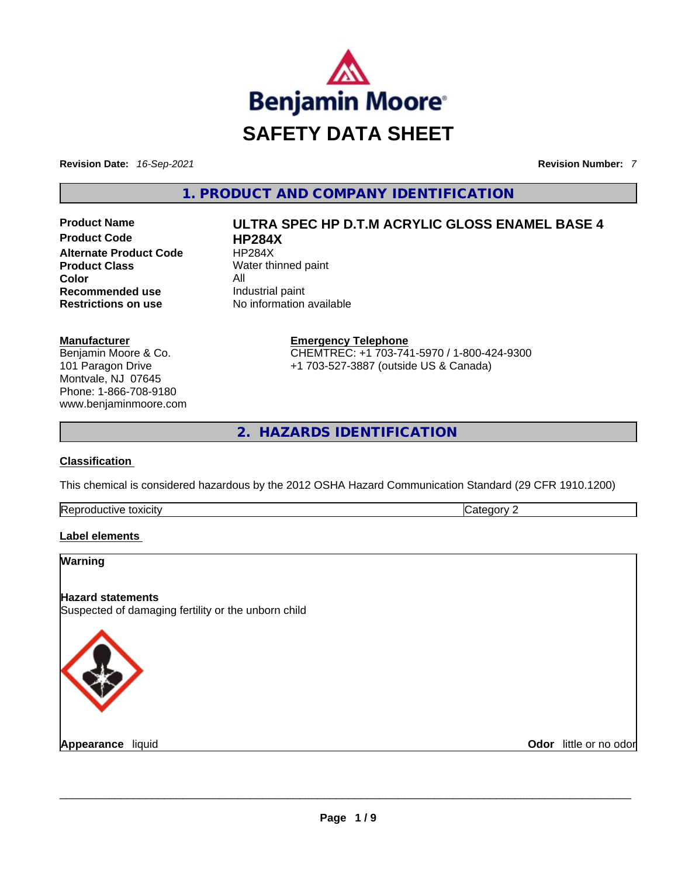

**Revision Date:** *16-Sep-2021* **Revision Number:** *7*

**1. PRODUCT AND COMPANY IDENTIFICATION** 

**Product Code 
<b>HP284X**<br> **Alternate Product Code HP284X Alternate Product Code Product Class** Water thinned paint **Color** All **Recommended use Industrial paint Restrictions on use** No information available

# **Manufacturer**

Benjamin Moore & Co. 101 Paragon Drive Montvale, NJ 07645 Phone: 1-866-708-9180 www.benjaminmoore.com

**Product Name ULTRA SPEC HP D.T.M ACRYLIC GLOSS ENAMEL BASE 4** 

**Emergency Telephone** CHEMTREC: +1 703-741-5970 / 1-800-424-9300 +1 703-527-3887 (outside US & Canada)

**2. HAZARDS IDENTIFICATION** 

## **Classification**

This chemical is considered hazardous by the 2012 OSHA Hazard Communication Standard (29 CFR 1910.1200)

| Reproductive<br>toxicity | --<br>10 H V |
|--------------------------|--------------|
|                          |              |

## **Label elements**

## **Warning**

## **Hazard statements**

Suspected of damaging fertility or the unborn child



**Appearance** liquid \_\_\_\_\_\_\_\_\_\_\_\_\_\_\_\_\_\_\_\_\_\_\_\_\_\_\_\_\_\_\_\_\_\_\_\_\_\_\_\_\_\_\_\_\_\_\_\_\_\_\_\_\_\_\_\_\_\_\_\_\_\_\_\_\_\_\_\_\_\_\_\_\_\_\_\_\_\_\_\_\_\_\_\_\_\_\_\_\_\_\_\_\_ **Odor** little or no odor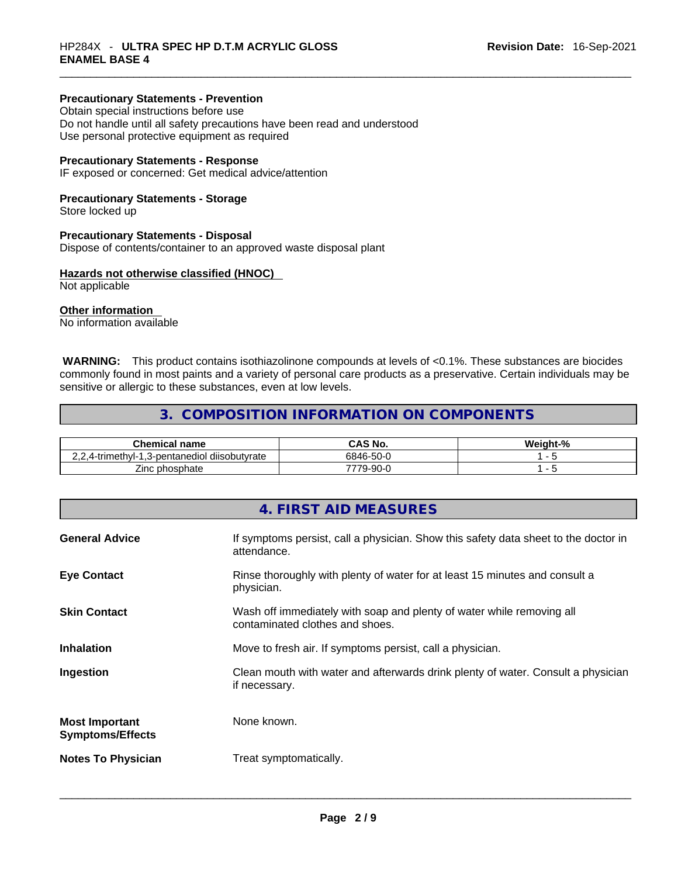## **Precautionary Statements - Prevention**

Obtain special instructions before use Do not handle until all safety precautions have been read and understood Use personal protective equipment as required

## **Precautionary Statements - Response**

IF exposed or concerned: Get medical advice/attention

## **Precautionary Statements - Storage**

Store locked up

#### **Precautionary Statements - Disposal**

Dispose of contents/container to an approved waste disposal plant

## **Hazards not otherwise classified (HNOC)**

Not applicable

#### **Other information**

No information available

 **WARNING:** This product contains isothiazolinone compounds at levels of <0.1%. These substances are biocides commonly found in most paints and a variety of personal care products as a preservative. Certain individuals may be sensitive or allergic to these substances, even at low levels.

## **3. COMPOSITION INFORMATION ON COMPONENTS**

| Chemical name                                                               | CAS No.   | Weight-% |
|-----------------------------------------------------------------------------|-----------|----------|
| .<br>-trimethvl-1<br>1.3-pentanediol diisobutvrate<br>$(1 - 1)$<br>۰. ــ ــ | 6846-50-0 |          |
| phosphate<br>∠inc∴                                                          | 79-90-0   |          |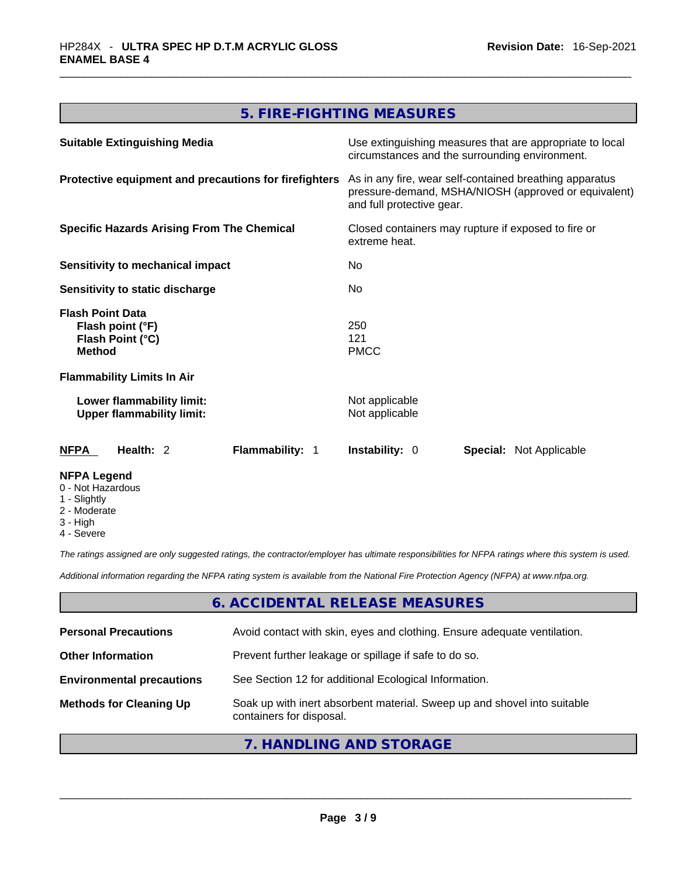# **5. FIRE-FIGHTING MEASURES**

| <b>Suitable Extinguishing Media</b>                                              | Use extinguishing measures that are appropriate to local<br>circumstances and the surrounding environment.                                   |
|----------------------------------------------------------------------------------|----------------------------------------------------------------------------------------------------------------------------------------------|
| Protective equipment and precautions for firefighters                            | As in any fire, wear self-contained breathing apparatus<br>pressure-demand, MSHA/NIOSH (approved or equivalent)<br>and full protective gear. |
| <b>Specific Hazards Arising From The Chemical</b>                                | Closed containers may rupture if exposed to fire or<br>extreme heat.                                                                         |
| Sensitivity to mechanical impact                                                 | N <sub>0</sub>                                                                                                                               |
| Sensitivity to static discharge                                                  | No                                                                                                                                           |
| <b>Flash Point Data</b><br>Flash point (°F)<br>Flash Point (°C)<br><b>Method</b> | 250<br>121<br><b>PMCC</b>                                                                                                                    |
| <b>Flammability Limits In Air</b>                                                |                                                                                                                                              |
| Lower flammability limit:<br><b>Upper flammability limit:</b>                    | Not applicable<br>Not applicable                                                                                                             |
| Flammability: 1<br>NFPA<br>Health: $2$                                           | <b>Instability: 0</b><br><b>Special: Not Applicable</b>                                                                                      |
| <b>NFPA Legend</b><br>0 - Not Hazardous<br>1 - Slightly                          |                                                                                                                                              |

- 
- 2 Moderate
- 3 High
- 4 Severe

*The ratings assigned are only suggested ratings, the contractor/employer has ultimate responsibilities for NFPA ratings where this system is used.* 

*Additional information regarding the NFPA rating system is available from the National Fire Protection Agency (NFPA) at www.nfpa.org.* 

## **6. ACCIDENTAL RELEASE MEASURES**

| <b>Personal Precautions</b>      | Avoid contact with skin, eyes and clothing. Ensure adequate ventilation.                             |
|----------------------------------|------------------------------------------------------------------------------------------------------|
| <b>Other Information</b>         | Prevent further leakage or spillage if safe to do so.                                                |
| <b>Environmental precautions</b> | See Section 12 for additional Ecological Information.                                                |
| <b>Methods for Cleaning Up</b>   | Soak up with inert absorbent material. Sweep up and shovel into suitable<br>containers for disposal. |

# **7. HANDLING AND STORAGE**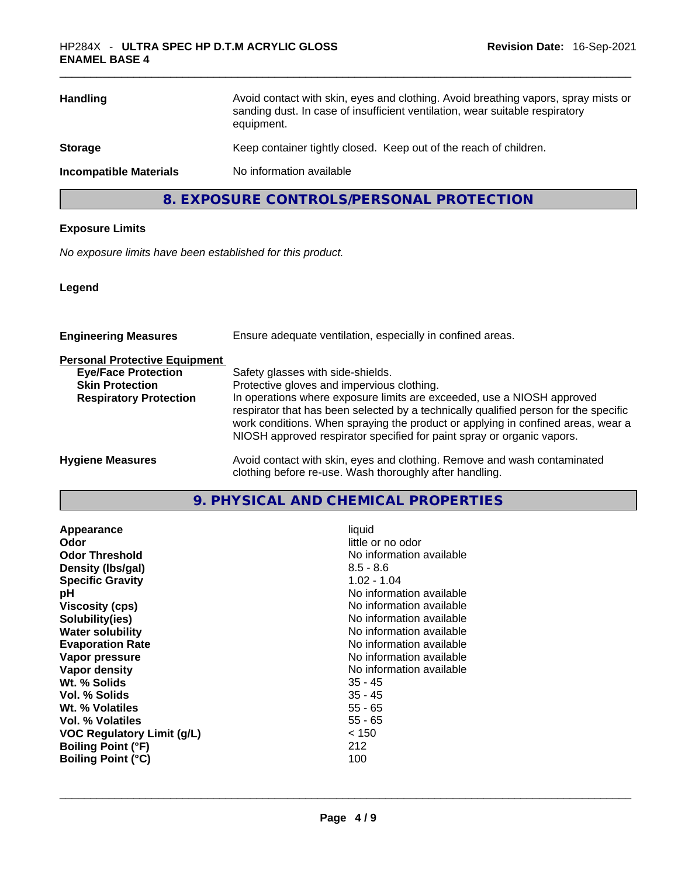| <b>Handling</b>               | Avoid contact with skin, eyes and clothing. Avoid breathing vapors, spray mists or<br>sanding dust. In case of insufficient ventilation, wear suitable respiratory<br>equipment. |
|-------------------------------|----------------------------------------------------------------------------------------------------------------------------------------------------------------------------------|
| <b>Storage</b>                | Keep container tightly closed. Keep out of the reach of children.                                                                                                                |
| <b>Incompatible Materials</b> | No information available                                                                                                                                                         |

**8. EXPOSURE CONTROLS/PERSONAL PROTECTION** 

## **Exposure Limits**

*No exposure limits have been established for this product.* 

**Legend**

| <b>Engineering Measures</b>          | Ensure adequate ventilation, especially in confined areas.                                                                                                                                                                                                                                                                   |
|--------------------------------------|------------------------------------------------------------------------------------------------------------------------------------------------------------------------------------------------------------------------------------------------------------------------------------------------------------------------------|
| <b>Personal Protective Equipment</b> |                                                                                                                                                                                                                                                                                                                              |
| <b>Eye/Face Protection</b>           | Safety glasses with side-shields.                                                                                                                                                                                                                                                                                            |
| <b>Skin Protection</b>               | Protective gloves and impervious clothing.                                                                                                                                                                                                                                                                                   |
| <b>Respiratory Protection</b>        | In operations where exposure limits are exceeded, use a NIOSH approved<br>respirator that has been selected by a technically qualified person for the specific<br>work conditions. When spraying the product or applying in confined areas, wear a<br>NIOSH approved respirator specified for paint spray or organic vapors. |
| <b>Hygiene Measures</b>              | Avoid contact with skin, eyes and clothing. Remove and wash contaminated<br>clothing before re-use. Wash thoroughly after handling.                                                                                                                                                                                          |

**9. PHYSICAL AND CHEMICAL PROPERTIES** 

| Density (Ibs/gal)<br>$8.5 - 8.6$<br>$1.02 - 1.04$<br><b>Specific Gravity</b><br>No information available<br>рH<br>No information available<br><b>Viscosity (cps)</b><br>No information available<br>Solubility(ies)<br>No information available<br><b>Water solubility</b><br>No information available<br><b>Evaporation Rate</b><br>No information available<br>Vapor pressure<br>No information available<br>Vapor density<br>Wt. % Solids<br>$35 - 45$<br>$35 - 45$<br>Vol. % Solids<br>$55 - 65$<br>Wt. % Volatiles<br>$55 - 65$<br>Vol. % Volatiles<br>< 150<br><b>VOC Regulatory Limit (g/L)</b><br><b>Boiling Point (°F)</b><br>212<br>100<br><b>Boiling Point (°C)</b> |  |
|--------------------------------------------------------------------------------------------------------------------------------------------------------------------------------------------------------------------------------------------------------------------------------------------------------------------------------------------------------------------------------------------------------------------------------------------------------------------------------------------------------------------------------------------------------------------------------------------------------------------------------------------------------------------------------|--|
|--------------------------------------------------------------------------------------------------------------------------------------------------------------------------------------------------------------------------------------------------------------------------------------------------------------------------------------------------------------------------------------------------------------------------------------------------------------------------------------------------------------------------------------------------------------------------------------------------------------------------------------------------------------------------------|--|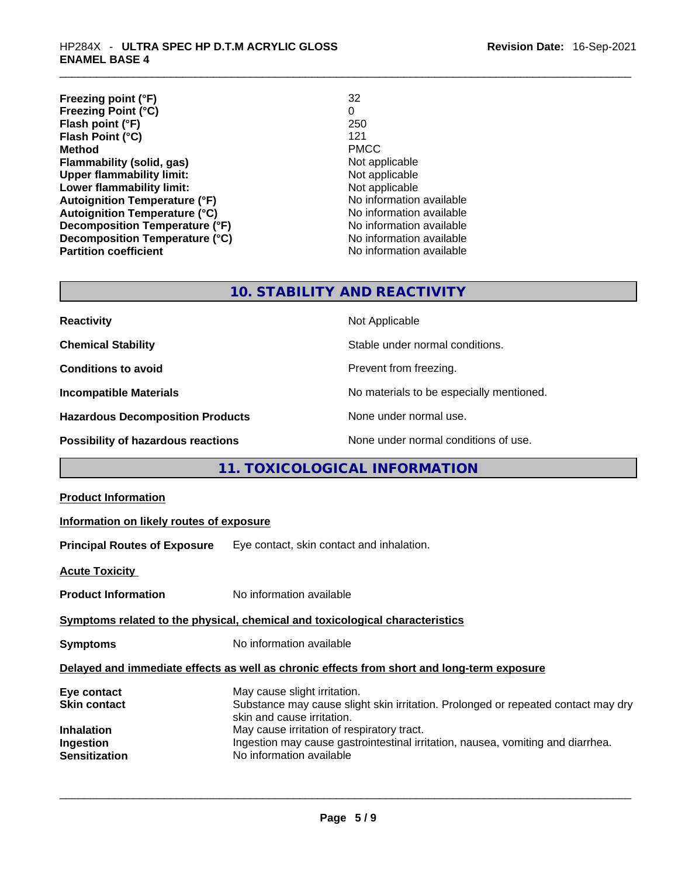| Freezing point (°F)                  | 32                       |
|--------------------------------------|--------------------------|
| <b>Freezing Point (°C)</b>           | 0                        |
| Flash point (°F)                     | 250                      |
| Flash Point (°C)                     | 121                      |
| <b>Method</b>                        | <b>PMCC</b>              |
| Flammability (solid, gas)            | Not applicable           |
| <b>Upper flammability limit:</b>     | Not applicable           |
| Lower flammability limit:            | Not applicable           |
| <b>Autoignition Temperature (°F)</b> | No information available |
| <b>Autoignition Temperature (°C)</b> | No information available |
| Decomposition Temperature (°F)       | No information available |
| Decomposition Temperature (°C)       | No information available |
| <b>Partition coefficient</b>         | No information available |

# **10. STABILITY AND REACTIVITY**

| <b>Reactivity</b>                       | Not Applicable                           |
|-----------------------------------------|------------------------------------------|
| <b>Chemical Stability</b>               | Stable under normal conditions.          |
| <b>Conditions to avoid</b>              | Prevent from freezing.                   |
| <b>Incompatible Materials</b>           | No materials to be especially mentioned. |
| <b>Hazardous Decomposition Products</b> | None under normal use.                   |
| Possibility of hazardous reactions      | None under normal conditions of use.     |

# **11. TOXICOLOGICAL INFORMATION**

| <b>Product Information</b>                                                                   |                                                                                                                                                                                                                                                                                                              |  |
|----------------------------------------------------------------------------------------------|--------------------------------------------------------------------------------------------------------------------------------------------------------------------------------------------------------------------------------------------------------------------------------------------------------------|--|
| Information on likely routes of exposure                                                     |                                                                                                                                                                                                                                                                                                              |  |
|                                                                                              | <b>Principal Routes of Exposure</b> Eye contact, skin contact and inhalation.                                                                                                                                                                                                                                |  |
| <b>Acute Toxicity</b>                                                                        |                                                                                                                                                                                                                                                                                                              |  |
| <b>Product Information</b>                                                                   | No information available                                                                                                                                                                                                                                                                                     |  |
| Symptoms related to the physical, chemical and toxicological characteristics                 |                                                                                                                                                                                                                                                                                                              |  |
| <b>Symptoms</b>                                                                              | No information available                                                                                                                                                                                                                                                                                     |  |
| Delayed and immediate effects as well as chronic effects from short and long-term exposure   |                                                                                                                                                                                                                                                                                                              |  |
| Eye contact<br><b>Skin contact</b><br><b>Inhalation</b><br>Ingestion<br><b>Sensitization</b> | May cause slight irritation.<br>Substance may cause slight skin irritation. Prolonged or repeated contact may dry<br>skin and cause irritation.<br>May cause irritation of respiratory tract.<br>Ingestion may cause gastrointestinal irritation, nausea, vomiting and diarrhea.<br>No information available |  |
|                                                                                              |                                                                                                                                                                                                                                                                                                              |  |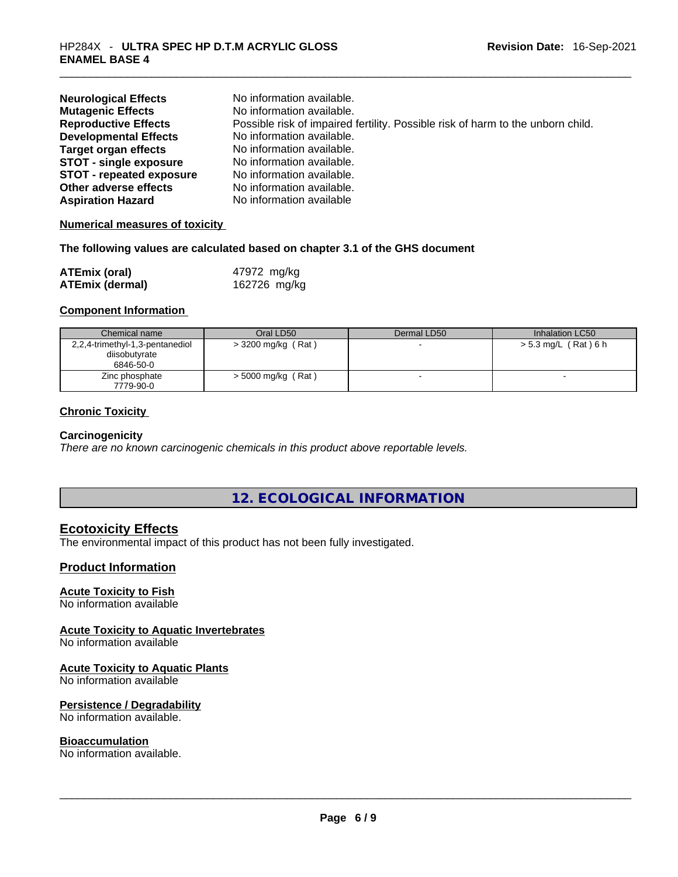| <b>Neurological Effects</b>     | No information available.                                                       |
|---------------------------------|---------------------------------------------------------------------------------|
| <b>Mutagenic Effects</b>        | No information available.                                                       |
| <b>Reproductive Effects</b>     | Possible risk of impaired fertility. Possible risk of harm to the unborn child. |
| <b>Developmental Effects</b>    | No information available.                                                       |
| <b>Target organ effects</b>     | No information available.                                                       |
| <b>STOT - single exposure</b>   | No information available.                                                       |
| <b>STOT - repeated exposure</b> | No information available.                                                       |
| Other adverse effects           | No information available.                                                       |
| <b>Aspiration Hazard</b>        | No information available                                                        |

## **Numerical measures of toxicity**

#### **The following values are calculated based on chapter 3.1 of the GHS document**

| <b>ATEmix (oral)</b>   | 47972 mg/kg  |
|------------------------|--------------|
| <b>ATEmix (dermal)</b> | 162726 mg/kg |

## **Component Information**

| Chemical name                   | Oral LD50            | Dermal LD50 | Inhalation LC50      |
|---------------------------------|----------------------|-------------|----------------------|
| 2,2,4-trimethyl-1,3-pentanediol | $>$ 3200 mg/kg (Rat) |             | > 5.3 mg/L (Rat) 6 h |
| diisobutyrate                   |                      |             |                      |
| 6846-50-0                       |                      |             |                      |
| Zinc phosphate                  | $>$ 5000 mg/kg (Rat) |             |                      |
| 7779-90-0                       |                      |             |                      |

## **Chronic Toxicity**

## **Carcinogenicity**

*There are no known carcinogenic chemicals in this product above reportable levels.* 

## **12. ECOLOGICAL INFORMATION**

## **Ecotoxicity Effects**

The environmental impact of this product has not been fully investigated.

## **Product Information**

## **Acute Toxicity to Fish**

No information available

## **Acute Toxicity to Aquatic Invertebrates**

No information available

## **Acute Toxicity to Aquatic Plants**

No information available

## **Persistence / Degradability**

No information available.

**Bioaccumulation**<br>No information available. No information available. \_\_\_\_\_\_\_\_\_\_\_\_\_\_\_\_\_\_\_\_\_\_\_\_\_\_\_\_\_\_\_\_\_\_\_\_\_\_\_\_\_\_\_\_\_\_\_\_\_\_\_\_\_\_\_\_\_\_\_\_\_\_\_\_\_\_\_\_\_\_\_\_\_\_\_\_\_\_\_\_\_\_\_\_\_\_\_\_\_\_\_\_\_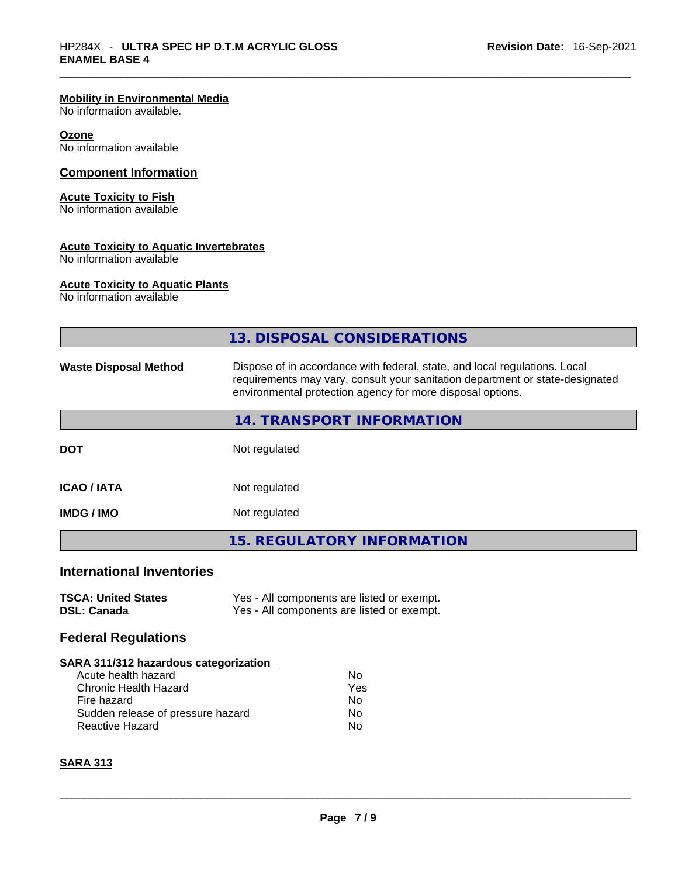## **Mobility in Environmental Media**

No information available.

## **Ozone**

No information available

## **Component Information**

#### **Acute Toxicity to Fish**

No information available

## **Acute Toxicity to Aquatic Invertebrates**

No information available

#### **Acute Toxicity to Aquatic Plants**

No information available

|                                                             | 13. DISPOSAL CONSIDERATIONS                                                                                                                                                                                               |
|-------------------------------------------------------------|---------------------------------------------------------------------------------------------------------------------------------------------------------------------------------------------------------------------------|
| <b>Waste Disposal Method</b>                                | Dispose of in accordance with federal, state, and local regulations. Local<br>requirements may vary, consult your sanitation department or state-designated<br>environmental protection agency for more disposal options. |
|                                                             | 14. TRANSPORT INFORMATION                                                                                                                                                                                                 |
| <b>DOT</b>                                                  | Not regulated                                                                                                                                                                                                             |
| <b>ICAO / IATA</b>                                          | Not regulated                                                                                                                                                                                                             |
| <b>IMDG / IMO</b>                                           | Not regulated                                                                                                                                                                                                             |
|                                                             | <b>15. REGULATORY INFORMATION</b>                                                                                                                                                                                         |
| <b>International Inventories</b>                            |                                                                                                                                                                                                                           |
| <b>TSCA: United States</b><br><b>DSL: Canada</b>            | Yes - All components are listed or exempt.<br>Yes - All components are listed or exempt.                                                                                                                                  |
| <b>Federal Regulations</b>                                  |                                                                                                                                                                                                                           |
| SARA 311/312 hazardous categorization                       |                                                                                                                                                                                                                           |
| Acute health hazard                                         | <b>No</b>                                                                                                                                                                                                                 |
| <b>Chronic Health Hazard</b>                                | Yes                                                                                                                                                                                                                       |
| Fire hazard                                                 | No                                                                                                                                                                                                                        |
| Sudden release of pressure hazard<br><b>Reactive Hazard</b> | No.                                                                                                                                                                                                                       |
|                                                             | No                                                                                                                                                                                                                        |
| <b>SARA 313</b>                                             |                                                                                                                                                                                                                           |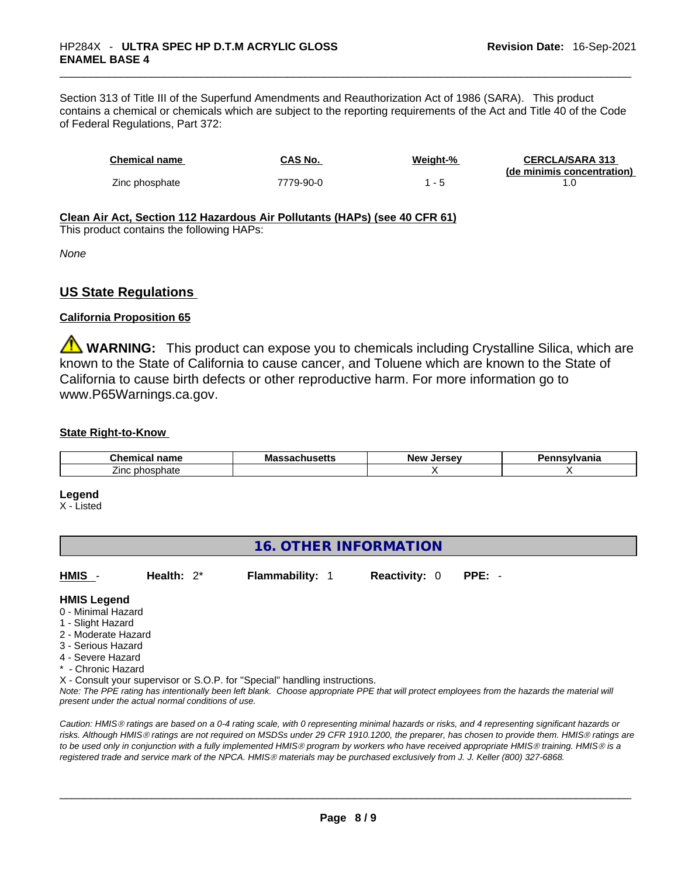Section 313 of Title III of the Superfund Amendments and Reauthorization Act of 1986 (SARA). This product contains a chemical or chemicals which are subject to the reporting requirements of the Act and Title 40 of the Code of Federal Regulations, Part 372:

| <b>Chemical name</b> | CAS No.   | Weight-% | <b>CERCLA/SARA 313</b><br>(de minimis concentration) |
|----------------------|-----------|----------|------------------------------------------------------|
| Zinc phosphate       | 7779-90-0 |          |                                                      |

## **Clean Air Act,Section 112 Hazardous Air Pollutants (HAPs) (see 40 CFR 61)**

This product contains the following HAPs:

*None*

## **US State Regulations**

## **California Proposition 65**

**WARNING:** This product can expose you to chemicals including Crystalline Silica, which are known to the State of California to cause cancer, and Toluene which are known to the State of California to cause birth defects or other reproductive harm. For more information go to www.P65Warnings.ca.gov.

## **State Right-to-Know**

| $  -$<br>.hem          | м | Ν۵۱۸<br><b>Larcay</b> | . |
|------------------------|---|-----------------------|---|
| $\angle$ inc $\degree$ |   |                       |   |

#### **Legend**

X - Listed

## **16. OTHER INFORMATION**

| HMIS | Health: $2^*$ | <b>Flammability: 1</b> | <b>Reactivity: 0 PPE: -</b> |  |
|------|---------------|------------------------|-----------------------------|--|
|      |               |                        |                             |  |

## **HMIS Legend**

- 0 Minimal Hazard
- 1 Slight Hazard
- 2 Moderate Hazard
- 3 Serious Hazard
- 4 Severe Hazard
- \* Chronic Hazard

X - Consult your supervisor or S.O.P. for "Special" handling instructions.

Note: The PPE rating has intentionally been left blank. Choose appropriate PPE that will protect employees from the hazards the material will *present under the actual normal conditions of use.* 

*Caution: HMISÒ ratings are based on a 0-4 rating scale, with 0 representing minimal hazards or risks, and 4 representing significant hazards or risks. Although HMISÒ ratings are not required on MSDSs under 29 CFR 1910.1200, the preparer, has chosen to provide them. HMISÒ ratings are to be used only in conjunction with a fully implemented HMISÒ program by workers who have received appropriate HMISÒ training. HMISÒ is a registered trade and service mark of the NPCA. HMISÒ materials may be purchased exclusively from J. J. Keller (800) 327-6868.*